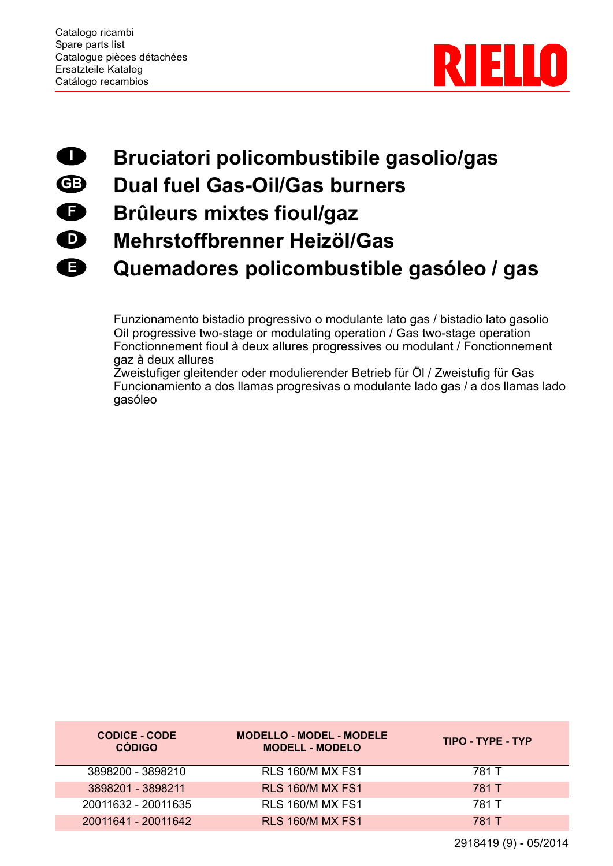

## **Bruciatori policombustibile gasolio/gas I**

- **Dual fuel Gas-Oil/Gas burners GB**
- **Brûleurs mixtes fioul/gaz F**
- **Mehrstoffbrenner Heizöl/Gas D**
- **Quemadores policombustible gasóleo / gas E**

Funzionamento bistadio progressivo o modulante lato gas / bistadio lato gasolio Oil progressive two-stage or modulating operation / Gas two-stage operation Fonctionnement fioul à deux allures progressives ou modulant / Fonctionnement gaz à deux allures

Zweistufiger gleitender oder modulierender Betrieb für Öl / Zweistufig für Gas Funcionamiento a dos llamas progresivas o modulante lado gas / a dos llamas lado gasóleo

| <b>CODICE - CODE</b><br><b>CÓDIGO</b> | <b>MODELLO - MODEL - MODELE</b><br><b>MODELL - MODELO</b> | TIPO - TYPE - TYP |
|---------------------------------------|-----------------------------------------------------------|-------------------|
| 3898200 - 3898210                     | <b>RLS 160/M MX FS1</b>                                   | 781 T             |
| 3898201 - 3898211                     | <b>RLS 160/M MX FS1</b>                                   | 781 T             |
| 20011632 - 20011635                   | <b>RLS 160/M MX FS1</b>                                   | 781 T             |
| 20011641 - 20011642                   | <b>RLS 160/M MX FS1</b>                                   | 781 T             |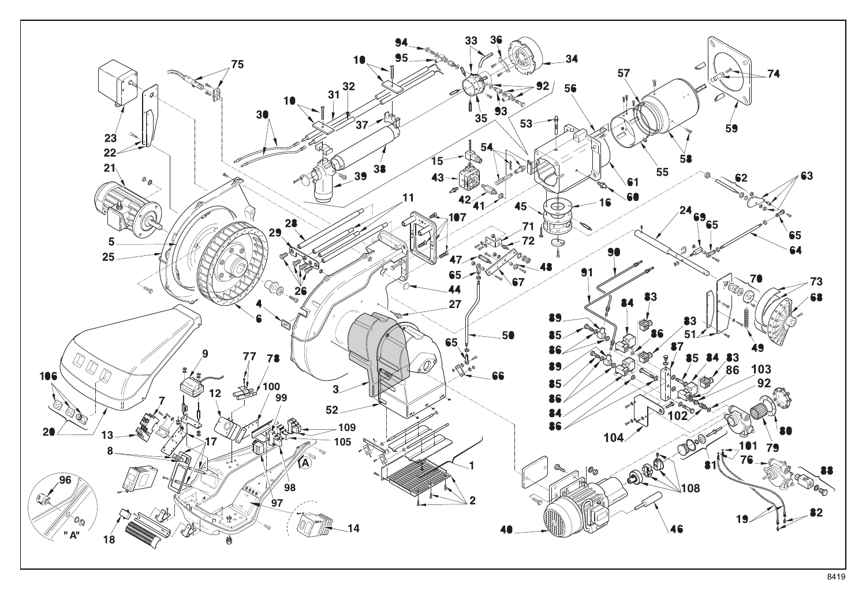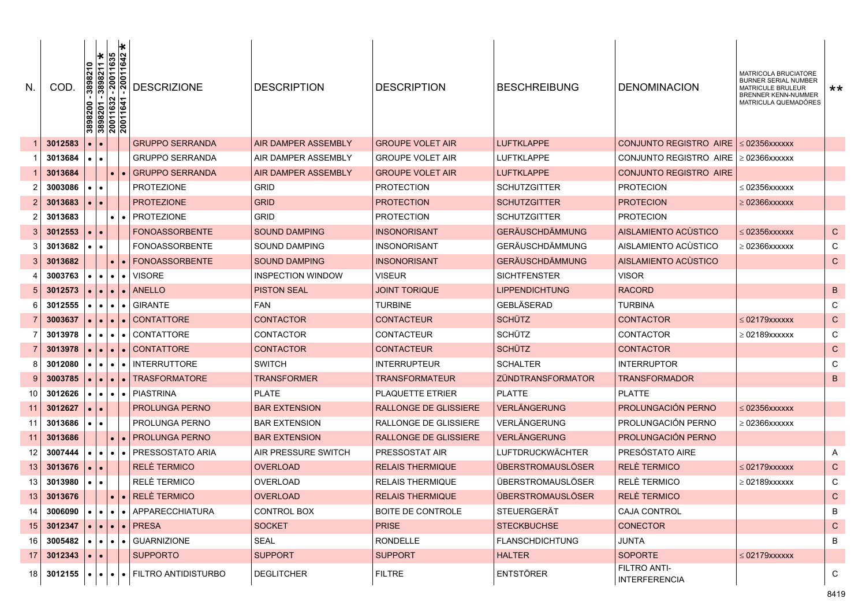| N.              | COD     | I∗<br>3898211<br>389821                 | 20011635<br>20011642<br>$\frac{3898200}{3898201} - \frac{1}{20011632}$ | <b>DESCRIZIONE</b>                                                      | <b>DESCRIPTION</b>         | <b>DESCRIPTION</b>           | <b>BESCHREIBUNG</b>      | <b>DENOMINACION</b>                         | MATRICOLA BRUCIATORE<br><b>BURNER SERIAL NUMBER</b><br><b>MATRICULE BRULEUR</b><br><b>BRENNER KENN-NUMMER</b><br>MATRICULA QUEMADÓRES | **           |
|-----------------|---------|-----------------------------------------|------------------------------------------------------------------------|-------------------------------------------------------------------------|----------------------------|------------------------------|--------------------------|---------------------------------------------|---------------------------------------------------------------------------------------------------------------------------------------|--------------|
|                 | 3012583 |                                         |                                                                        | <b>GRUPPO SERRANDA</b>                                                  | <b>AIR DAMPER ASSEMBLY</b> | <b>GROUPE VOLET AIR</b>      | <b>LUFTKLAPPE</b>        | CONJUNTO REGISTRO AIRE                      | $\leq$ 02356xxxxxx                                                                                                                    |              |
|                 | 3013684 |                                         |                                                                        | GRUPPO SERRANDA                                                         | AIR DAMPER ASSEMBLY        | <b>GROUPE VOLET AIR</b>      | LUFTKLAPPE               | CONJUNTO REGISTRO AIRE                      | $\geq 02366$ xxxxxx                                                                                                                   |              |
|                 | 3013684 |                                         |                                                                        | <b>GRUPPO SERRANDA</b>                                                  | <b>AIR DAMPER ASSEMBLY</b> | <b>GROUPE VOLET AIR</b>      | <b>LUFTKLAPPE</b>        | <b>CONJUNTO REGISTRO AIRE</b>               |                                                                                                                                       |              |
| 2               | 3003086 |                                         |                                                                        | <b>PROTEZIONE</b>                                                       | <b>GRID</b>                | <b>PROTECTION</b>            | <b>SCHUTZGITTER</b>      | <b>PROTECION</b>                            | $\leq 02356$ xxxxxx                                                                                                                   |              |
| 2               | 3013683 |                                         |                                                                        | <b>PROTEZIONE</b>                                                       | <b>GRID</b>                | <b>PROTECTION</b>            | <b>SCHUTZGITTER</b>      | <b>PROTECION</b>                            | ≥ 02366xxxxxx                                                                                                                         |              |
| 2               | 3013683 |                                         |                                                                        | <b>PROTEZIONE</b>                                                       | <b>GRID</b>                | <b>PROTECTION</b>            | <b>SCHUTZGITTER</b>      | <b>PROTECION</b>                            |                                                                                                                                       |              |
| 3               | 3012553 |                                         |                                                                        | <b>FONOASSORBENTE</b>                                                   | <b>SOUND DAMPING</b>       | <b>INSONORISANT</b>          | <b>GERÄUSCHDÄMMUNG</b>   | AISLAMIENTO ACUSTICO                        | $\leq$ 02356xxxxxx                                                                                                                    | $\mathsf{C}$ |
| 3               | 3013682 |                                         |                                                                        | <b>FONOASSORBENTE</b>                                                   | SOUND DAMPING              | <b>INSONORISANT</b>          | GERÄUSCHDÄMMUNG          | AISLAMIENTO ACUSTICO                        | $\geq 02366$ xxxxxx                                                                                                                   | C            |
| 3               | 3013682 |                                         |                                                                        | <b>FONOASSORBENTE</b>                                                   | <b>SOUND DAMPING</b>       | <b>INSONORISANT</b>          | <b>GERÄUSCHDÄMMUNG</b>   | AISLAMIENTO ACÙSTICO                        |                                                                                                                                       | $\mathsf{C}$ |
|                 | 3003763 | $\bullet$                               | $\bullet$                                                              | <b>VISORE</b><br>$\bullet$                                              | <b>INSPECTION WINDOW</b>   | <b>VISEUR</b>                | <b>SICHTFENSTER</b>      | <b>VISOR</b>                                |                                                                                                                                       |              |
| 5               | 3012573 |                                         |                                                                        | <b>ANELLO</b>                                                           | <b>PISTON SEAL</b>         | <b>JOINT TORIQUE</b>         | <b>LIPPENDICHTUNG</b>    | <b>RACORD</b>                               |                                                                                                                                       | B            |
| 6               | 3012555 | $\bullet$<br>$\bullet$                  | $\bullet$                                                              | <b>GIRANTE</b><br>$\bullet$                                             | <b>FAN</b>                 | <b>TURBINE</b>               | GEBLÄSERAD               | TURBINA                                     |                                                                                                                                       | C            |
|                 | 3003637 | $\bullet$                               | $\bullet$                                                              | <b>CONTATTORE</b><br>$\bullet$                                          | <b>CONTACTOR</b>           | <b>CONTACTEUR</b>            | <b>SCHÜTZ</b>            | CONTACTOR                                   | $\leq 02179$ xxxxxx                                                                                                                   | ${\bf C}$    |
|                 | 3013978 | $\bullet$                               | $\bullet$                                                              | CONTATTORE                                                              | CONTACTOR                  | <b>CONTACTEUR</b>            | <b>SCHÜTZ</b>            | CONTACTOR                                   | $\geq 02189$ xxxxxx                                                                                                                   | C            |
|                 | 3013978 |                                         | $\bullet$                                                              | <b>CONTATTORE</b><br>$\bullet$                                          | <b>CONTACTOR</b>           | <b>CONTACTEUR</b>            | <b>SCHÜTZ</b>            | <b>CONTACTOR</b>                            |                                                                                                                                       | ${\bf C}$    |
| 8               | 3012080 |                                         | $\bullet$                                                              | <b>INTERRUTTORE</b>                                                     | <b>SWITCH</b>              | <b>INTERRUPTEUR</b>          | <b>SCHALTER</b>          | <b>INTERRUPTOR</b>                          |                                                                                                                                       | C            |
| 9               | 3003785 |                                         |                                                                        | <b>TRASFORMATORE</b>                                                    | TRANSFORMER                | <b>TRANSFORMATEUR</b>        | ZÜNDTRANSFORMATOR        | TRANSFORMADOR                               |                                                                                                                                       | B            |
| 10              | 3012626 | $\bullet$<br>$\bullet$                  | $\bullet$                                                              | <b>PIASTRINA</b><br>$\bullet$                                           | <b>PLATE</b>               | <b>PLAQUETTE ETRIER</b>      | <b>PLATTE</b>            | <b>PLATTE</b>                               |                                                                                                                                       |              |
| 11              | 3012627 |                                         |                                                                        | <b>PROLUNGA PERNO</b>                                                   | <b>BAR EXTENSION</b>       | <b>RALLONGE DE GLISSIERE</b> | <b>VERLÄNGERUNG</b>      | PROLUNGACIÓN PERNO                          | $\leq$ 02356xxxxxx                                                                                                                    |              |
| 11              | 3013686 | $\bullet$<br>$\bullet$                  |                                                                        | PROLUNGA PERNO                                                          | <b>BAR EXTENSION</b>       | RALLONGE DE GLISSIERE        | VERLÄNGERUNG             | PROLUNGACIÓN PERNO                          | ≥ 02366xxxxxx                                                                                                                         |              |
| 11              | 3013686 |                                         |                                                                        | <b>PROLUNGA PERNO</b>                                                   | <b>BAR EXTENSION</b>       | <b>RALLONGE DE GLISSIERE</b> | VERLÄNGERUNG             | PROLUNGACIÓN PERNO                          |                                                                                                                                       |              |
| 12              | 3007444 | $\bullet$<br>$\bullet$                  | $\bullet$                                                              | PRESSOSTATO ARIA<br>$\bullet$                                           | AIR PRESSURE SWITCH        | PRESSOSTAT AIR               | LUFTDRUCKWÄCHTER         | PRESÓSTATO AIRE                             |                                                                                                                                       | A            |
| 13              | 3013676 |                                         |                                                                        | <b>RELÈ TERMICO</b>                                                     | <b>OVERLOAD</b>            | <b>RELAIS THERMIQUE</b>      | <b>ÜBERSTROMAUSLÖSER</b> | RELÈ TERMICO                                | $\leq$ 02179xxxxxx                                                                                                                    | $\mathsf{C}$ |
| 13              | 3013980 |                                         |                                                                        | RELÈ TERMICO                                                            | OVERLOAD                   | <b>RELAIS THERMIQUE</b>      | ÜBERSTROMAUSLÖSER        | <b>RELÈ TERMICO</b>                         | ≥ 02189xxxxxx                                                                                                                         | C            |
| 13 <sup>°</sup> | 3013676 |                                         | $\bullet$                                                              | $\bullet$ RELÈ TERMICO                                                  | <b>OVERLOAD</b>            | <b>RELAIS THERMIQUE</b>      | ÜBERSTROMAUSLÖSER        | <b>RELÈ TERMICO</b>                         |                                                                                                                                       | $\mathsf{C}$ |
| 14              |         |                                         |                                                                        | 3006090 $\cdot \cdot \cdot \cdot$   $\cdot$   $\cdot$   APPARECCHIATURA | CONTROL BOX                | BOITE DE CONTROLE            | STEUERGERÄT              | CAJA CONTROL                                |                                                                                                                                       | B            |
| 15              | 3012347 |                                         |                                                                        | $\vert \bullet \vert \bullet \vert \bullet \vert \bullet \vert$ PRESA   | <b>SOCKET</b>              | <b>PRISE</b>                 | <b>STECKBUCHSE</b>       | <b>CONECTOR</b>                             |                                                                                                                                       | $\mathsf{C}$ |
| 16              | 3005482 | $\bullet$ $\bullet$ $\bullet$ $\bullet$ |                                                                        | $\bullet$ $\vdash$ GUARNIZIONE                                          | SEAL                       | <b>RONDELLE</b>              | <b>FLANSCHDICHTUNG</b>   | JUNTA                                       |                                                                                                                                       | B            |
| 17 <sup>1</sup> | 3012343 | $\bullet$<br>$\bullet$                  |                                                                        | <b>SUPPORTO</b>                                                         | <b>SUPPORT</b>             | <b>SUPPORT</b>               | <b>HALTER</b>            | <b>SOPORTE</b>                              | $\leq 02179$ xxxxxx                                                                                                                   |              |
| 18 <sup>1</sup> | 3012155 | $\bullet$ $\bullet$                     | $\bullet$                                                              | • FILTRO ANTIDISTURBO                                                   | <b>DEGLITCHER</b>          | <b>FILTRE</b>                | <b>ENTSTÖRER</b>         | <b>FILTRO ANTI-</b><br><b>INTERFERENCIA</b> |                                                                                                                                       | C            |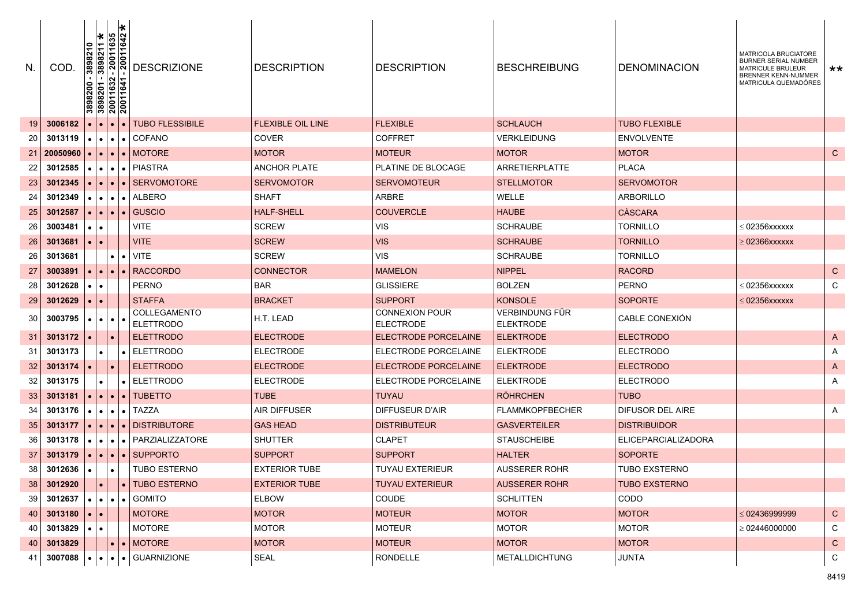| N.   | COD.     |                     | l∗<br>3898210<br>3898211 *<br>-20011635<br>-20011642<br>$\begin{array}{r} \hline 3898200 - \\ 3898201 - \\ 20011632 \\ \hline 20011641 \end{array}$ | <b>DESCRIZIONE</b>                         | <b>DESCRIPTION</b>       | <b>DESCRIPTION</b>                        | <b>BESCHREIBUNG</b>                | <b>DENOMINACION</b>        | MATRICOLA BRUCIATORE<br><b>BURNER SERIAL NUMBER</b><br><b>MATRICULE BRULEUR</b><br>BRENNER KENN-NUMMER<br>MATRICULA QUEMADÓRES | $***$        |
|------|----------|---------------------|-----------------------------------------------------------------------------------------------------------------------------------------------------|--------------------------------------------|--------------------------|-------------------------------------------|------------------------------------|----------------------------|--------------------------------------------------------------------------------------------------------------------------------|--------------|
| 19   | 3006182  |                     |                                                                                                                                                     | <b>TUBO FLESSIBILE</b><br>$\bullet$        | <b>FLEXIBLE OIL LINE</b> | <b>FLEXIBLE</b>                           | <b>SCHLAUCH</b>                    | <b>TUBO FLEXIBLE</b>       |                                                                                                                                |              |
| 20   | 3013119  |                     | $\bullet$<br>$\bullet$                                                                                                                              | $\bullet$ COFANO                           | <b>COVER</b>             | <b>COFFRET</b>                            | <b>VERKLEIDUNG</b>                 | <b>ENVOLVENTE</b>          |                                                                                                                                |              |
| 21   | 20050960 |                     | $\bullet$                                                                                                                                           | $\bullet$   MOTORE                         | <b>MOTOR</b>             | <b>MOTEUR</b>                             | <b>MOTOR</b>                       | <b>MOTOR</b>               |                                                                                                                                | $\mathsf{C}$ |
| 22   | 3012585  |                     | $\bullet$<br>$\bullet$                                                                                                                              | $\bullet$   PIASTRA                        | <b>ANCHOR PLATE</b>      | PLATINE DE BLOCAGE                        | ARRETIERPLATTE                     | <b>PLACA</b>               |                                                                                                                                |              |
| 23   | 3012345  |                     | $\bullet$                                                                                                                                           | <b>SERVOMOTORE</b><br>$\bullet$            | <b>SERVOMOTOR</b>        | <b>SERVOMOTEUR</b>                        | <b>STELLMOTOR</b>                  | <b>SERVOMOTOR</b>          |                                                                                                                                |              |
| 24   | 3012349  |                     | $\bullet$<br>$\bullet$                                                                                                                              | $\bullet$   ALBERO                         | SHAFT                    | ARBRE                                     | WELLE                              | <b>ARBORILLO</b>           |                                                                                                                                |              |
| 25   | 3012587  |                     | $\bullet$<br>$\bullet$                                                                                                                              | <b>GUSCIO</b><br>$\bullet$                 | <b>HALF-SHELL</b>        | <b>COUVERCLE</b>                          | <b>HAUBE</b>                       | CÀSCARA                    |                                                                                                                                |              |
| 26   | 3003481  | $\bullet$<br>٠      |                                                                                                                                                     | <b>VITE</b>                                | <b>SCREW</b>             | <b>VIS</b>                                | <b>SCHRAUBE</b>                    | <b>TORNILLO</b>            | $\leq$ 02356xxxxxx                                                                                                             |              |
| 26   | 3013681  | $\bullet$           |                                                                                                                                                     | <b>VITE</b>                                | <b>SCREW</b>             | <b>VIS</b>                                | <b>SCHRAUBE</b>                    | <b>TORNILLO</b>            | $\geq 02366$ xxxxxx                                                                                                            |              |
| 26   | 3013681  |                     | $\bullet$                                                                                                                                           | <b>VITE</b><br>$\bullet$                   | <b>SCREW</b>             | <b>VIS</b>                                | <b>SCHRAUBE</b>                    | <b>TORNILLO</b>            |                                                                                                                                |              |
| 27   | 3003891  |                     | $\bullet$<br>$\bullet$                                                                                                                              | <b>RACCORDO</b><br>$\bullet$               | <b>CONNECTOR</b>         | <b>MAMELON</b>                            | <b>NIPPEL</b>                      | <b>RACORD</b>              |                                                                                                                                | ${\rm C}$    |
| 28   | 3012628  |                     | $\bullet$                                                                                                                                           | <b>PERNO</b>                               | <b>BAR</b>               | <b>GLISSIERE</b>                          | <b>BOLZEN</b>                      | <b>PERNO</b>               | $\leq$ 02356xxxxxx                                                                                                             | C            |
| 29   | 3012629  |                     |                                                                                                                                                     | <b>STAFFA</b>                              | <b>BRACKET</b>           | <b>SUPPORT</b>                            | <b>KONSOLE</b>                     | <b>SOPORTE</b>             | $\leq 02356$ xxxxxx                                                                                                            |              |
| 30   | 3003795  |                     | $\bullet$<br>$\bullet$                                                                                                                              | COLLEGAMENTO<br><b>ELETTRODO</b>           | H.T. LEAD                | <b>CONNEXION POUR</b><br><b>ELECTRODE</b> | VERBINDUNG FÜR<br><b>ELEKTRODE</b> | CABLE CONEXIÓN             |                                                                                                                                |              |
| 31   | 3013172  |                     | $\bullet$                                                                                                                                           | <b>ELETTRODO</b>                           | <b>ELECTRODE</b>         | <b>ELECTRODE PORCELAINE</b>               | <b>ELEKTRODE</b>                   | <b>ELECTRODO</b>           |                                                                                                                                | A            |
| 31   | 3013173  |                     | $\bullet$                                                                                                                                           | <b>ELETTRODO</b><br>$\bullet$              | ELECTRODE                | ELECTRODE PORCELAINE                      | <b>ELEKTRODE</b>                   | ELECTRODO                  |                                                                                                                                | Α            |
| 32   | 3013174  |                     | $\bullet$                                                                                                                                           | <b>ELETTRODO</b>                           | <b>ELECTRODE</b>         | <b>ELECTRODE PORCELAINE</b>               | <b>ELEKTRODE</b>                   | <b>ELECTRODO</b>           |                                                                                                                                | A            |
| 32   | 3013175  |                     | ٠                                                                                                                                                   | ELETTRODO<br>$\bullet$                     | <b>ELECTRODE</b>         | ELECTRODE PORCELAINE                      | <b>ELEKTRODE</b>                   | <b>ELECTRODO</b>           |                                                                                                                                | Α            |
| 33   | 3013181  |                     | $\bullet$<br>$\bullet$                                                                                                                              | •   TUBETTO                                | <b>TUBE</b>              | <b>TUYAU</b>                              | <b>RÖHRCHEN</b>                    | <b>TUBO</b>                |                                                                                                                                |              |
| 34   | 3013176  |                     | $\bullet$<br>$\bullet$                                                                                                                              | $\bullet$ TAZZA                            | <b>AIR DIFFUSER</b>      | DIFFUSEUR D'AIR                           | <b>FLAMMKOPFBECHER</b>             | DIFUSOR DEL AIRE           |                                                                                                                                | Α            |
| 35   | 3013177  |                     | $\bullet$<br>$\bullet$                                                                                                                              | <b>DISTRIBUTORE</b><br>$\bullet$           | <b>GAS HEAD</b>          | <b>DISTRIBUTEUR</b>                       | <b>GASVERTEILER</b>                | <b>DISTRIBUIDOR</b>        |                                                                                                                                |              |
| 36   | 3013178  |                     | $\bullet$<br>$\bullet$                                                                                                                              | •   PARZIALIZZATORE                        | <b>SHUTTER</b>           | <b>CLAPET</b>                             | <b>STAUSCHEIBE</b>                 | <b>ELICEPARCIALIZADORA</b> |                                                                                                                                |              |
| 37   | 3013179  |                     | $\bullet$<br>۰                                                                                                                                      | <b>SUPPORTO</b><br>$\bullet$               | <b>SUPPORT</b>           | <b>SUPPORT</b>                            | <b>HALTER</b>                      | <b>SOPORTE</b>             |                                                                                                                                |              |
| 38   | 3012636  |                     | $\bullet$                                                                                                                                           | <b>TUBO ESTERNO</b>                        | <b>EXTERIOR TUBE</b>     | <b>TUYAU EXTERIEUR</b>                    | <b>AUSSERER ROHR</b>               | <b>TUBO EXSTERNO</b>       |                                                                                                                                |              |
| 38   | 3012920  | $\bullet$           |                                                                                                                                                     | • TUBO ESTERNO                             | <b>EXTERIOR TUBE</b>     | <b>TUYAU EXTERIEUR</b>                    | <b>AUSSERER ROHR</b>               | <b>TUBO EXSTERNO</b>       |                                                                                                                                |              |
| 39 I | 3012637  |                     |                                                                                                                                                     | $\cdot \cdot \cdot$ $\cdot$ $\cdot$ GOMITO | <b>ELBOW</b>             | COUDE                                     | <b>SCHLITTEN</b>                   | CODO                       |                                                                                                                                |              |
| 40   | 3013180  | $\bullet$ $\bullet$ |                                                                                                                                                     | <b>MOTORE</b>                              | <b>MOTOR</b>             | <b>MOTEUR</b>                             | <b>MOTOR</b>                       | <b>MOTOR</b>               | $\leq 02436999999$                                                                                                             | $\mathsf{C}$ |
| 40   | 3013829  | $\bullet$           | $\bullet$                                                                                                                                           | MOTORE                                     | <b>MOTOR</b>             | <b>MOTEUR</b>                             | <b>MOTOR</b>                       | <b>MOTOR</b>               | $\geq 02446000000$                                                                                                             | C            |
| 40   | 3013829  |                     | $\bullet$                                                                                                                                           | $\bullet$ MOTORE                           | <b>MOTOR</b>             | <b>MOTEUR</b>                             | <b>MOTOR</b>                       | <b>MOTOR</b>               |                                                                                                                                | $\mathsf{C}$ |
| 41   | 3007088  |                     |                                                                                                                                                     | $\bullet$ $\bullet$ $\bullet$ GUARNIZIONE  | SEAL                     | RONDELLE                                  | <b>METALLDICHTUNG</b>              | JUNTA                      |                                                                                                                                | C.           |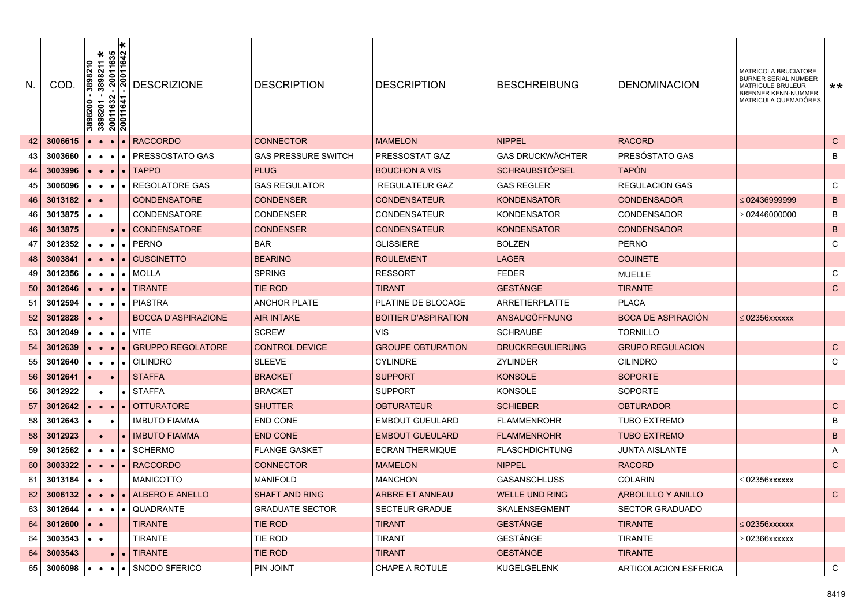| N. | COD.    | 00786     | $\begin{array}{r} \hline 3898210 \\ 3898211 \text{ } \text{\textcolor{red}{\star}} \\ \hline 120011635 \\ -20011642 \end{array}$<br>$\frac{1}{20}$ $\frac{1}{20}$ $\frac{1}{20}$<br>$\frac{888}{3800}$ |           | <b>DESCRIZIONE</b>         | <b>DESCRIPTION</b>         | <b>DESCRIPTION</b>          | <b>BESCHREIBUNG</b>     | <b>DENOMINACION</b>       | MATRICOLA BRUCIATORE<br><b>BURNER SERIAL NUMBER</b><br><b>MATRICULE BRULEUR</b><br><b>BRENNER KENN-NUMMER</b><br>MATRICULA QUEMADÓRES | $***$       |
|----|---------|-----------|--------------------------------------------------------------------------------------------------------------------------------------------------------------------------------------------------------|-----------|----------------------------|----------------------------|-----------------------------|-------------------------|---------------------------|---------------------------------------------------------------------------------------------------------------------------------------|-------------|
| 42 | 3006615 |           |                                                                                                                                                                                                        |           | <b>RACCORDO</b>            | <b>CONNECTOR</b>           | <b>MAMELON</b>              | <b>NIPPEL</b>           | <b>RACORD</b>             |                                                                                                                                       | $\mathbf C$ |
| 43 | 3003660 |           |                                                                                                                                                                                                        |           | PRESSOSTATO GAS            | <b>GAS PRESSURE SWITCH</b> | PRESSOSTAT GAZ              | <b>GAS DRUCKWÄCHTER</b> | PRESÓSTATO GAS            |                                                                                                                                       | B           |
| 44 | 3003996 |           |                                                                                                                                                                                                        |           | <b>TAPPO</b>               | <b>PLUG</b>                | <b>BOUCHON A VIS</b>        | <b>SCHRAUBSTÖPSEL</b>   | <b>TAPÓN</b>              |                                                                                                                                       |             |
| 45 | 3006096 |           |                                                                                                                                                                                                        |           | <b>REGOLATORE GAS</b>      | <b>GAS REGULATOR</b>       | <b>REGULATEUR GAZ</b>       | <b>GAS REGLER</b>       | <b>REGULACION GAS</b>     |                                                                                                                                       | C           |
| 46 | 3013182 |           |                                                                                                                                                                                                        |           | <b>CONDENSATORE</b>        | <b>CONDENSER</b>           | <b>CONDENSATEUR</b>         | <b>KONDENSATOR</b>      | <b>CONDENSADOR</b>        | $\leq$ 02436999999                                                                                                                    | $\mathsf B$ |
| 46 | 3013875 |           |                                                                                                                                                                                                        |           | <b>CONDENSATORE</b>        | <b>CONDENSER</b>           | <b>CONDENSATEUR</b>         | <b>KONDENSATOR</b>      | <b>CONDENSADOR</b>        | $\geq 02446000000$                                                                                                                    | B           |
| 46 | 3013875 |           |                                                                                                                                                                                                        |           | <b>CONDENSATORE</b>        | <b>CONDENSER</b>           | <b>CONDENSATEUR</b>         | <b>KONDENSATOR</b>      | <b>CONDENSADOR</b>        |                                                                                                                                       | $\sf B$     |
| 47 | 3012352 |           | $\bullet$                                                                                                                                                                                              |           | <b>PERNO</b>               | <b>BAR</b>                 | <b>GLISSIERE</b>            | <b>BOLZEN</b>           | <b>PERNO</b>              |                                                                                                                                       | C           |
| 48 | 3003841 |           |                                                                                                                                                                                                        |           | <b>CUSCINETTO</b>          | <b>BEARING</b>             | <b>ROULEMENT</b>            | <b>LAGER</b>            | <b>COJINETE</b>           |                                                                                                                                       |             |
| 49 | 3012356 |           |                                                                                                                                                                                                        |           | <b>MOLLA</b>               | <b>SPRING</b>              | <b>RESSORT</b>              | <b>FEDER</b>            | <b>MUELLE</b>             |                                                                                                                                       | C           |
| 50 | 3012646 |           |                                                                                                                                                                                                        |           | TIRANTE                    | <b>TIE ROD</b>             | <b>TIRANT</b>               | <b>GESTÄNGE</b>         | <b>TIRANTE</b>            |                                                                                                                                       | $\mathbf C$ |
| 51 | 3012594 |           | $\bullet$ $\blacksquare$<br>$\bullet$                                                                                                                                                                  |           | <b>PIASTRA</b>             | <b>ANCHOR PLATE</b>        | PLATINE DE BLOCAGE          | <b>ARRETIERPLATTE</b>   | <b>PLACA</b>              |                                                                                                                                       |             |
| 52 | 3012828 |           |                                                                                                                                                                                                        |           | <b>BOCCA D'ASPIRAZIONE</b> | <b>AIR INTAKE</b>          | <b>BOITIER D'ASPIRATION</b> | ANSAUGÖFFNUNG           | <b>BOCA DE ASPIRACIÓN</b> | $\leq 02356$ xxxxxx                                                                                                                   |             |
| 53 | 3012049 |           | $\bullet$ $\bullet$                                                                                                                                                                                    | $\bullet$ | <b>VITE</b>                | <b>SCREW</b>               | <b>VIS</b>                  | <b>SCHRAUBE</b>         | <b>TORNILLO</b>           |                                                                                                                                       |             |
| 54 | 3012639 |           | $\bullet$                                                                                                                                                                                              |           | <b>GRUPPO REGOLATORE</b>   | <b>CONTROL DEVICE</b>      | <b>GROUPE OBTURATION</b>    | <b>DRUCKREGULIERUNG</b> | <b>GRUPO REGULACION</b>   |                                                                                                                                       | $\mathbf C$ |
| 55 | 3012640 |           | $\bullet$ $\bullet$ $\bullet$                                                                                                                                                                          |           | <b>CILINDRO</b>            | <b>SLEEVE</b>              | <b>CYLINDRE</b>             | <b>ZYLINDER</b>         | <b>CILINDRO</b>           |                                                                                                                                       | C           |
| 56 | 3012641 |           |                                                                                                                                                                                                        |           | <b>STAFFA</b>              | <b>BRACKET</b>             | <b>SUPPORT</b>              | <b>KONSOLE</b>          | <b>SOPORTE</b>            |                                                                                                                                       |             |
| 56 | 3012922 |           |                                                                                                                                                                                                        | $\bullet$ | <b>STAFFA</b>              | <b>BRACKET</b>             | <b>SUPPORT</b>              | <b>KONSOLE</b>          | <b>SOPORTE</b>            |                                                                                                                                       |             |
| 57 | 3012642 |           | $\bullet$ $\bullet$ $\bullet$                                                                                                                                                                          | $\bullet$ | <b>OTTURATORE</b>          | <b>SHUTTER</b>             | <b>OBTURATEUR</b>           | <b>SCHIEBER</b>         | <b>OBTURADOR</b>          |                                                                                                                                       | $\mathbf C$ |
| 58 | 3012643 |           |                                                                                                                                                                                                        |           | <b>IMBUTO FIAMMA</b>       | <b>END CONE</b>            | <b>EMBOUT GUEULARD</b>      | <b>FLAMMENROHR</b>      | <b>TUBO EXTREMO</b>       |                                                                                                                                       | B           |
| 58 | 3012923 |           |                                                                                                                                                                                                        |           | <b>IMBUTO FIAMMA</b>       | <b>END CONE</b>            | <b>EMBOUT GUEULARD</b>      | <b>FLAMMENROHR</b>      | <b>TUBO EXTREMO</b>       |                                                                                                                                       | $\sf B$     |
| 59 | 3012562 | $\bullet$ | $\bullet$<br>$\bullet$                                                                                                                                                                                 |           | <b>SCHERMO</b>             | <b>FLANGE GASKET</b>       | <b>ECRAN THERMIQUE</b>      | <b>FLASCHDICHTUNG</b>   | JUNTA AISLANTE            |                                                                                                                                       | A           |
| 60 | 3003322 |           | $\bullet$ l<br>$\bullet$                                                                                                                                                                               |           | $\bullet$ RACCORDO         | <b>CONNECTOR</b>           | <b>MAMELON</b>              | <b>NIPPEL</b>           | <b>RACORD</b>             |                                                                                                                                       | $\mathbf C$ |
| 61 | 3013184 |           |                                                                                                                                                                                                        |           | <b>MANICOTTO</b>           | <b>MANIFOLD</b>            | <b>MANCHON</b>              | <b>GASANSCHLUSS</b>     | <b>COLARIN</b>            | $\leq 02356$ XXXXXX                                                                                                                   |             |
| 62 | 3006132 |           | $\bullet$                                                                                                                                                                                              |           | • ALBERO E ANELLO          | <b>SHAFT AND RING</b>      | <b>ARBRE ET ANNEAU</b>      | <b>WELLE UND RING</b>   | <b>ARBOLILLO Y ANILLO</b> |                                                                                                                                       | $\mathbf C$ |
| 63 | 3012644 |           |                                                                                                                                                                                                        |           | QUADRANTE                  | <b>GRADUATE SECTOR</b>     | <b>SECTEUR GRADUE</b>       | SKALENSEGMENT           | <b>SECTOR GRADUADO</b>    |                                                                                                                                       |             |
| 64 | 3012600 |           |                                                                                                                                                                                                        |           | <b>TIRANTE</b>             | <b>TIE ROD</b>             | <b>TIRANT</b>               | <b>GESTÄNGE</b>         | <b>TIRANTE</b>            | $\leq 02356$ xxxxxx                                                                                                                   |             |
| 64 | 3003543 |           |                                                                                                                                                                                                        |           | TIRANTE                    | <b>TIE ROD</b>             | <b>TIRANT</b>               | <b>GESTÄNGE</b>         | <b>TIRANTE</b>            | $\geq 02366$ xxxxxx                                                                                                                   |             |
| 64 | 3003543 |           |                                                                                                                                                                                                        |           | TIRANTE                    | TIE ROD                    | <b>TIRANT</b>               | <b>GESTANGE</b>         | TIRANTE                   |                                                                                                                                       |             |
| 65 | 3006098 | $\bullet$ | $\bullet$ $\bullet$ $\bullet$                                                                                                                                                                          |           | • I SNODO SFERICO          | PIN JOINT                  | CHAPE A ROTULE              | <b>KUGELGELENK</b>      | ARTICOLACION ESFERICA     |                                                                                                                                       | C           |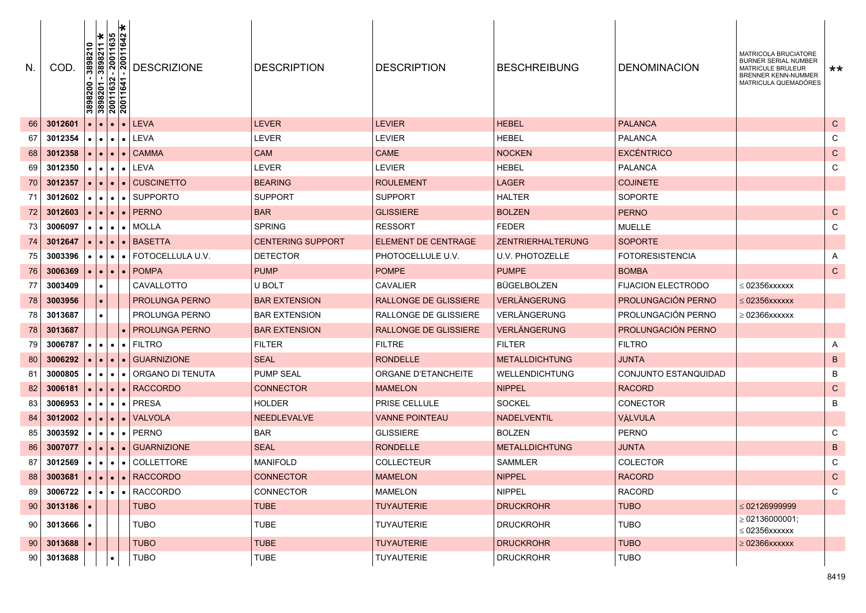| N               | COD.                | 3898210<br>3898200<br>3898201<br>20011632<br>20011641 | 3898211 *<br>20011635<br>20011642<br>1632<br>11641 |           | <b>DESCRIZIONE</b>                                   | <b>DESCRIPTION</b>       | <b>DESCRIPTION</b>           | <b>BESCHREIBUNG</b>      | <b>DENOMINACION</b>       | MATRICOLA BRUCIATORE<br><b>BURNER SERIAL NUMBER</b><br>MATRICULE BRULEUR<br><b>BRENNER KENN-NUMMER</b><br>MATRICULA QUEMADÓRES | **            |
|-----------------|---------------------|-------------------------------------------------------|----------------------------------------------------|-----------|------------------------------------------------------|--------------------------|------------------------------|--------------------------|---------------------------|--------------------------------------------------------------------------------------------------------------------------------|---------------|
| 66              | 3012601             |                                                       | $\bullet$                                          | $\bullet$ | LEVA                                                 | <b>LEVER</b>             | LEVIER                       | <b>HEBEL</b>             | <b>PALANCA</b>            |                                                                                                                                | $\mathsf{C}$  |
| 67              | 3012354             | $\bullet$                                             |                                                    |           | $\bullet$ $\bullet$ LEVA                             | <b>LEVER</b>             | <b>LEVIER</b>                | <b>HEBEL</b>             | <b>PALANCA</b>            |                                                                                                                                | C             |
| 68              | 3012358             | $\bullet$                                             | $\bullet$                                          | $\bullet$ | CAMMA                                                | <b>CAM</b>               | <b>CAME</b>                  | <b>NOCKEN</b>            | <b>EXCÉNTRICO</b>         |                                                                                                                                | ${\bf C}$     |
| 69              | 3012350             |                                                       | $\bullet\bullet\bullet$                            |           | $\bullet$ LEVA                                       | <b>LEVER</b>             | LEVIER                       | <b>HEBEL</b>             | <b>PALANCA</b>            |                                                                                                                                | C             |
| 70              | 3012357             | $\bullet$                                             | $\bullet$                                          |           | • CUSCINETTO                                         | <b>BEARING</b>           | <b>ROULEMENT</b>             | <b>LAGER</b>             | <b>COJINETE</b>           |                                                                                                                                |               |
| 71              | 3012602             | $\bullet$                                             | $\bullet$                                          | $\bullet$ | <b>SUPPORTO</b>                                      | <b>SUPPORT</b>           | <b>SUPPORT</b>               | <b>HALTER</b>            | <b>SOPORTE</b>            |                                                                                                                                |               |
| 72              | 3012603             | $\bullet$ $\vdash$                                    | $\bullet$ 1                                        |           | $\bullet$   PERNO                                    | <b>BAR</b>               | <b>GLISSIERE</b>             | <b>BOLZEN</b>            | <b>PERNO</b>              |                                                                                                                                | $\mathsf{C}$  |
| 73              | 3006097             | $\bullet$ 1                                           | $\bullet$                                          | $\bullet$ | MOLLA                                                | <b>SPRING</b>            | <b>RESSORT</b>               | <b>FEDER</b>             | <b>MUELLE</b>             |                                                                                                                                | C             |
| 74              | 3012647             | $\bullet$                                             | $\bullet$                                          | $\bullet$ | <b>BASETTA</b>                                       | <b>CENTERING SUPPORT</b> | <b>ELEMENT DE CENTRAGE</b>   | <b>ZENTRIERHALTERUNG</b> | <b>SOPORTE</b>            |                                                                                                                                |               |
| 75              | 3003396             |                                                       |                                                    |           | $\bullet$ $\bullet$ $\bullet$   FOTOCELLULA U.V.     | <b>DETECTOR</b>          | PHOTOCELLULE U.V.            | U.V. PHOTOZELLE          | FOTORESISTENCIA           |                                                                                                                                | A             |
| 76              | 3006369             |                                                       | $\bullet$ $\bullet$ $\bullet$                      |           | $\bullet$   POMPA                                    | <b>PUMP</b>              | <b>POMPE</b>                 | <b>PUMPE</b>             | <b>BOMBA</b>              |                                                                                                                                | $\mathsf C$   |
| 77              | 3003409             | $\bullet$                                             |                                                    |           | CAVALLOTTO                                           | U BOLT                   | CAVALIER                     | BÜGELBOLZEN              | <b>FIJACION ELECTRODO</b> | $\leq$ 02356xxxxxx                                                                                                             |               |
| 78              | 3003956             |                                                       |                                                    |           | <b>PROLUNGA PERNO</b>                                | <b>BAR EXTENSION</b>     | <b>RALLONGE DE GLISSIERE</b> | <b>VERLÄNGERUNG</b>      | PROLUNGACIÓN PERNO        | $\leq$ 02356xxxxxx                                                                                                             |               |
| 78              | 3013687             |                                                       |                                                    |           | PROLUNGA PERNO                                       | <b>BAR EXTENSION</b>     | RALLONGE DE GLISSIERE        | VERLÄNGERUNG             | PROLUNGACIÓN PERNO        | $\geq 02366$ xxxxxx                                                                                                            |               |
| 78              | 3013687             |                                                       |                                                    |           | <b>PROLUNGA PERNO</b>                                | <b>BAR EXTENSION</b>     | <b>RALLONGE DE GLISSIERE</b> | <b>VERLÄNGERUNG</b>      | PROLUNGACIÓN PERNO        |                                                                                                                                |               |
| 79              | 3006787             | $\bullet$                                             | $\bullet$                                          |           | $\bullet$   FILTRO                                   | <b>FILTER</b>            | <b>FILTRE</b>                | <b>FILTER</b>            | <b>FILTRO</b>             |                                                                                                                                | A             |
| 80              | 3006292             | $\bullet$                                             | $\bullet$                                          | $\bullet$ | <b>GUARNIZIONE</b>                                   | <b>SEAL</b>              | <b>RONDELLE</b>              | <b>METALLDICHTUNG</b>    | JUNTA                     |                                                                                                                                | B             |
| 81              | 3000805             |                                                       | $\bullet$                                          | $\bullet$ | ORGANO DI TENUTA                                     | <b>PUMP SEAL</b>         | ORGANE D'ETANCHEITE          | <b>WELLENDICHTUNG</b>    | CONJUNTO ESTANQUIDAD      |                                                                                                                                | B             |
| 82              | 3006181             | $\bullet$                                             | $\bullet$                                          | $\bullet$ | <b>RACCORDO</b>                                      | <b>CONNECTOR</b>         | <b>MAMELON</b>               | <b>NIPPEL</b>            | <b>RACORD</b>             |                                                                                                                                | $\mathsf{C}$  |
| 83              | 3006953             |                                                       | $\bullet$ $\bullet$ $\bullet$                      |           | $\bullet$   PRESA                                    | <b>HOLDER</b>            | PRISE CELLULE                | <b>SOCKEL</b>            | CONECTOR                  |                                                                                                                                | B             |
| 84              | 3012002             | $\bullet$                                             | $\bullet$                                          | $\bullet$ | VALVOLA                                              | <b>NEEDLEVALVE</b>       | <b>VANNE POINTEAU</b>        | <b>NADELVENTIL</b>       | VÀLVULA                   |                                                                                                                                |               |
| 85              | 3003592             |                                                       | $\bullet\bullet\bullet$                            |           | $\bullet$   PERNO                                    | <b>BAR</b>               | <b>GLISSIERE</b>             | <b>BOLZEN</b>            | <b>PERNO</b>              |                                                                                                                                | C             |
| 86              | 3007077             |                                                       | $\bullet$ $\bullet$ $\bullet$                      |           | $\bullet$ GUARNIZIONE                                | <b>SEAL</b>              | <b>RONDELLE</b>              | <b>METALLDICHTUNG</b>    | <b>JUNTA</b>              |                                                                                                                                | B             |
| 87              | 3012569             |                                                       |                                                    |           | $\cdot \cdot \cdot$ $\cdot$ COLLETTORE               | <b>MANIFOLD</b>          | <b>COLLECTEUR</b>            | <b>SAMMLER</b>           | COLECTOR                  |                                                                                                                                | C             |
| 88              | 3003681             |                                                       |                                                    |           | $\vert \cdot \vert \cdot \vert \cdot \vert$ RACCORDO | <b>CONNECTOR</b>         | <b>MAMELON</b>               | <b>NIPPEL</b>            | <b>RACORD</b>             |                                                                                                                                | $\mathcal{C}$ |
| 89 I            | $3006722$ $\bullet$ |                                                       | $\bullet$ $\bullet$ $\bullet$                      |           | • RACCORDO                                           | <b>CONNECTOR</b>         | <b>MAMELON</b>               | <b>NIPPEL</b>            | <b>RACORD</b>             |                                                                                                                                | C             |
| 90              | 3013186             |                                                       |                                                    |           | <b>TUBO</b>                                          | <b>TUBE</b>              | <b>TUYAUTERIE</b>            | <b>DRUCKROHR</b>         | <b>TUBO</b>               | $\leq 02126999999$                                                                                                             |               |
| 90 <sub>1</sub> | 3013666             |                                                       |                                                    |           | <b>TUBO</b>                                          | <b>TUBE</b>              | <b>TUYAUTERIE</b>            | <b>DRUCKROHR</b>         | <b>TUBO</b>               | $\geq$ 02136000001;<br>$\leq 02356$ xxxxxx                                                                                     |               |
| 90 <sub>1</sub> | 3013688             |                                                       |                                                    |           | <b>TUBO</b>                                          | <b>TUBE</b>              | <b>TUYAUTERIE</b>            | <b>DRUCKROHR</b>         | <b>TUBO</b>               | $\geq 02366$ xxxxxx                                                                                                            |               |
| 90 <sub>1</sub> | 3013688             |                                                       |                                                    |           | <b>TUBO</b>                                          | TUBE                     | <b>TUYAUTERIE</b>            | <b>DRUCKROHR</b>         | <b>TUBO</b>               |                                                                                                                                |               |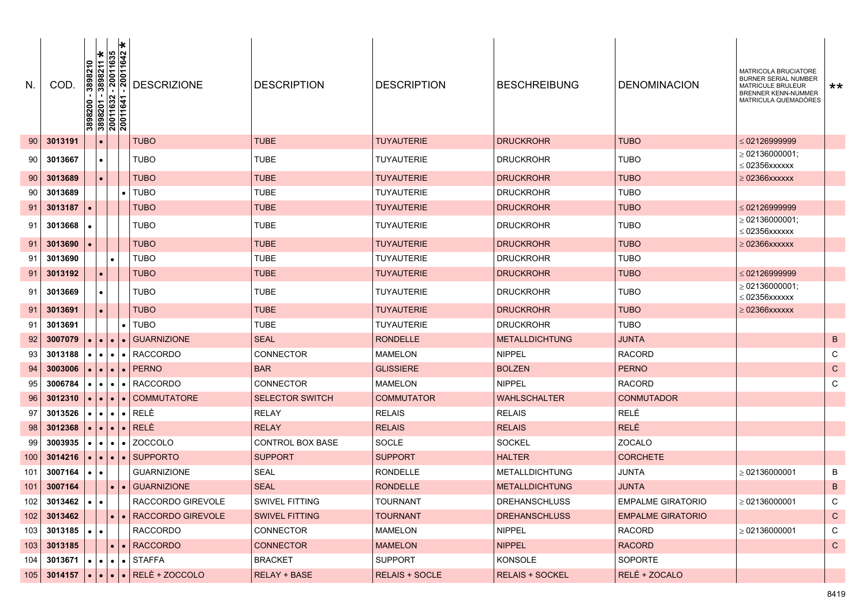| N.  | COD.                        | $\begin{array}{r} \n 3898210 \\ \hline\n 3898211 \text{ } \bigstar \\ \hline\n -20011635 \\ \hline\n -20011642 \end{array}$<br>$\begin{array}{r} \hline 3898200 \\ 3898201 \\ \hline 20011632 \\ 20011641 \end{array},$ |                        | l∗                             | <b>DESCRIZIONE</b>                               | <b>DESCRIPTION</b>      | <b>DESCRIPTION</b>    | <b>BESCHREIBUNG</b>    | <b>DENOMINACION</b>      | MATRICOLA BRUCIATORE<br><b>BURNER SERIAL NUMBER</b><br><b>MATRICULE BRULEUR</b><br><b>BRENNER KENN-NUMMER</b><br>MATRICULA QUEMADÓRES | **           |
|-----|-----------------------------|-------------------------------------------------------------------------------------------------------------------------------------------------------------------------------------------------------------------------|------------------------|--------------------------------|--------------------------------------------------|-------------------------|-----------------------|------------------------|--------------------------|---------------------------------------------------------------------------------------------------------------------------------------|--------------|
| 90  | 3013191                     |                                                                                                                                                                                                                         |                        |                                | <b>TUBO</b>                                      | <b>TUBE</b>             | <b>TUYAUTERIE</b>     | <b>DRUCKROHR</b>       | <b>TUBO</b>              |                                                                                                                                       |              |
| 90  | 3013667                     |                                                                                                                                                                                                                         | $\bullet$              |                                | <b>TUBO</b>                                      | <b>TUBE</b>             | <b>TUYAUTERIE</b>     | <b>DRUCKROHR</b>       | <b>TUBO</b>              | $\geq 02136000001$ :<br>$\leq$ 02356xxxxxx                                                                                            |              |
| 90  | 3013689                     |                                                                                                                                                                                                                         | $\bullet$              |                                | <b>TUBO</b>                                      | <b>TUBE</b>             | <b>TUYAUTERIE</b>     | <b>DRUCKROHR</b>       | <b>TUBO</b>              | $\geq 02366$ xxxxxx                                                                                                                   |              |
| 90  | 3013689                     |                                                                                                                                                                                                                         |                        | $\bullet$                      | <b>TUBO</b>                                      | <b>TUBE</b>             | <b>TUYAUTERIE</b>     | <b>DRUCKROHR</b>       | <b>TUBO</b>              |                                                                                                                                       |              |
| 91  | 3013187                     |                                                                                                                                                                                                                         |                        |                                | <b>TUBO</b>                                      | <b>TUBE</b>             | <b>TUYAUTERIE</b>     | <b>DRUCKROHR</b>       | <b>TUBO</b>              | $\leq 02126999999$                                                                                                                    |              |
| 91  | 3013668                     |                                                                                                                                                                                                                         |                        |                                | <b>TUBO</b>                                      | <b>TUBE</b>             | <b>TUYAUTERIE</b>     | <b>DRUCKROHR</b>       | <b>TUBO</b>              | $\geq 02136000001;$<br>$\leq 02356$ XXXXXX                                                                                            |              |
| 91  | 3013690                     |                                                                                                                                                                                                                         |                        |                                | <b>TUBO</b>                                      | <b>TUBE</b>             | <b>TUYAUTERIE</b>     | <b>DRUCKROHR</b>       | <b>TUBO</b>              | $\geq 02366$ xxxxxx                                                                                                                   |              |
| 91  | 3013690                     |                                                                                                                                                                                                                         | $\bullet$              |                                | <b>TUBO</b>                                      | <b>TUBE</b>             | <b>TUYAUTERIE</b>     | <b>DRUCKROHR</b>       | <b>TUBO</b>              |                                                                                                                                       |              |
| 91  | 3013192                     |                                                                                                                                                                                                                         | $\bullet$              |                                | TUBO                                             | <b>TUBE</b>             | <b>TUYAUTERIE</b>     | <b>DRUCKROHR</b>       | <b>TUBO</b>              | $\leq 02126999999$                                                                                                                    |              |
| 91  | 3013669                     |                                                                                                                                                                                                                         | $\bullet$              |                                | TUBO                                             | <b>TUBE</b>             | <b>TUYAUTERIE</b>     | <b>DRUCKROHR</b>       | <b>TUBO</b>              | $>02136000001$ :<br>$\leq$ 02356xxxxxx                                                                                                |              |
| 91  | 3013691                     |                                                                                                                                                                                                                         | $\bullet$              |                                | <b>TUBO</b>                                      | <b>TUBE</b>             | <b>TUYAUTERIE</b>     | <b>DRUCKROHR</b>       | <b>TUBO</b>              | ≥ 02366xxxxxx                                                                                                                         |              |
| 91  | 3013691                     |                                                                                                                                                                                                                         |                        | $\bullet$                      | <b>TUBO</b>                                      | <b>TUBE</b>             | <b>TUYAUTERIE</b>     | <b>DRUCKROHR</b>       | <b>TUBO</b>              |                                                                                                                                       |              |
| 92  | 3007079                     | $\bullet$                                                                                                                                                                                                               | $\bullet$<br>$\bullet$ | $\bullet$                      | <b>GUARNIZIONE</b>                               | <b>SEAL</b>             | <b>RONDELLE</b>       | <b>METALLDICHTUNG</b>  | <b>JUNTA</b>             |                                                                                                                                       | B            |
| 93  | 3013188                     |                                                                                                                                                                                                                         |                        | $\bullet\bullet\bullet\bullet$ | <b>RACCORDO</b>                                  | <b>CONNECTOR</b>        | <b>MAMELON</b>        | <b>NIPPEL</b>          | <b>RACORD</b>            |                                                                                                                                       | C            |
| 94  | 3003006                     |                                                                                                                                                                                                                         | $\bullet$<br>$\bullet$ | $\bullet$                      | <b>PERNO</b>                                     | <b>BAR</b>              | <b>GLISSIERE</b>      | <b>BOLZEN</b>          | <b>PERNO</b>             |                                                                                                                                       | $\mathsf{C}$ |
| 95  | 3006784                     |                                                                                                                                                                                                                         | $\bullet$<br>$\bullet$ |                                | $\bullet$ RACCORDO                               | <b>CONNECTOR</b>        | <b>MAMELON</b>        | <b>NIPPEL</b>          | <b>RACORD</b>            |                                                                                                                                       | C            |
| 96  | 3012310                     |                                                                                                                                                                                                                         | $\bullet$              | $\bullet$ l<br>$\bullet$       | <b>COMMUTATORE</b>                               | <b>SELECTOR SWITCH</b>  | <b>COMMUTATOR</b>     | <b>WAHLSCHALTER</b>    | <b>CONMUTADOR</b>        |                                                                                                                                       |              |
| 97  | 3013526                     |                                                                                                                                                                                                                         | $\bullet$<br>$\bullet$ | $\bullet$                      | RELÈ                                             | <b>RELAY</b>            | <b>RELAIS</b>         | <b>RELAIS</b>          | RELÉ                     |                                                                                                                                       |              |
| 98  | 3012368                     |                                                                                                                                                                                                                         | $\bullet$              | $\bullet$                      | $\bullet$ RELE                                   | <b>RELAY</b>            | <b>RELAIS</b>         | <b>RELAIS</b>          | <b>RELÉ</b>              |                                                                                                                                       |              |
| 99  | 3003935                     | $\bullet$                                                                                                                                                                                                               | $\bullet$<br>$\bullet$ |                                | $\bullet$ ZOCCOLO                                | <b>CONTROL BOX BASE</b> | SOCLE                 | <b>SOCKEL</b>          | ZOCALO                   |                                                                                                                                       |              |
| 100 | 3014216                     |                                                                                                                                                                                                                         | $\bullet$              | $\bullet$<br>$\bullet$         | <b>SUPPORTO</b>                                  | <b>SUPPORT</b>          | <b>SUPPORT</b>        | <b>HALTER</b>          | <b>CORCHETE</b>          |                                                                                                                                       |              |
| 101 | 3007164                     | $\bullet$                                                                                                                                                                                                               |                        |                                | <b>GUARNIZIONE</b>                               | <b>SEAL</b>             | <b>RONDELLE</b>       | <b>METALLDICHTUNG</b>  | JUNTA                    | > 02136000001                                                                                                                         | B            |
| 101 | 3007164                     |                                                                                                                                                                                                                         | $\bullet$              | $\bullet$                      | <b>GUARNIZIONE</b>                               | <b>SEAL</b>             | <b>RONDELLE</b>       | <b>METALLDICHTUNG</b>  | <b>JUNTA</b>             |                                                                                                                                       | B            |
| 102 | $3013462 \cdot \cdot \cdot$ |                                                                                                                                                                                                                         |                        |                                | RACCORDO GIREVOLE                                | SWIVEL FITTING          | <b>TOURNANT</b>       | <b>DREHANSCHLUSS</b>   | <b>EMPALME GIRATORIO</b> | $\geq 02136000001$                                                                                                                    | C            |
| 102 | 3013462                     |                                                                                                                                                                                                                         |                        | $\bullet$                      | · RACCORDO GIREVOLE                              | <b>SWIVEL FITTING</b>   | <b>TOURNANT</b>       | <b>DREHANSCHLUSS</b>   | <b>EMPALME GIRATORIO</b> |                                                                                                                                       | $\mathsf{C}$ |
| 103 | 3013185                     | $\bullet$                                                                                                                                                                                                               | $\bullet$              |                                | <b>RACCORDO</b>                                  | <b>CONNECTOR</b>        | MAMELON               | <b>NIPPEL</b>          | <b>RACORD</b>            | $\geq 02136000001$                                                                                                                    | C            |
| 103 | 3013185                     |                                                                                                                                                                                                                         |                        |                                | $\bullet$   $\bullet$   RACCORDO                 | <b>CONNECTOR</b>        | <b>MAMELON</b>        | <b>NIPPEL</b>          | <b>RACORD</b>            |                                                                                                                                       | $\mathsf{C}$ |
| 104 | 3013671                     |                                                                                                                                                                                                                         |                        |                                | $\bullet   \bullet   \bullet   \bullet  $ STAFFA | <b>BRACKET</b>          | <b>SUPPORT</b>        | <b>KONSOLE</b>         | SOPORTE                  |                                                                                                                                       |              |
| 105 | 3014157                     | $\bullet$ $\bullet$ $\bullet$ $\bullet$                                                                                                                                                                                 |                        |                                | $\bullet$ RELÈ + ZOCCOLO                         | <b>RELAY + BASE</b>     | <b>RELAIS + SOCLE</b> | <b>RELAIS + SOCKEL</b> | RELÉ + ZOCALO            |                                                                                                                                       |              |